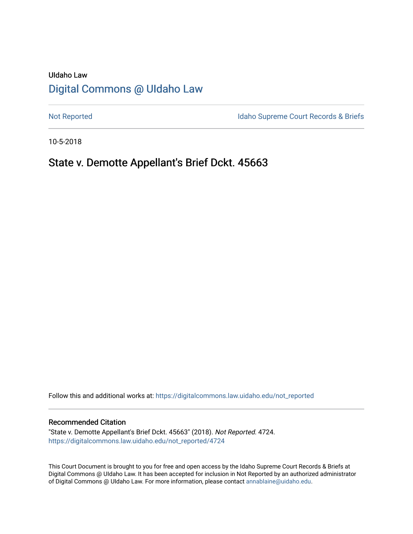# UIdaho Law [Digital Commons @ UIdaho Law](https://digitalcommons.law.uidaho.edu/)

[Not Reported](https://digitalcommons.law.uidaho.edu/not_reported) **Idaho Supreme Court Records & Briefs** 

10-5-2018

## State v. Demotte Appellant's Brief Dckt. 45663

Follow this and additional works at: [https://digitalcommons.law.uidaho.edu/not\\_reported](https://digitalcommons.law.uidaho.edu/not_reported?utm_source=digitalcommons.law.uidaho.edu%2Fnot_reported%2F4724&utm_medium=PDF&utm_campaign=PDFCoverPages) 

#### Recommended Citation

"State v. Demotte Appellant's Brief Dckt. 45663" (2018). Not Reported. 4724. [https://digitalcommons.law.uidaho.edu/not\\_reported/4724](https://digitalcommons.law.uidaho.edu/not_reported/4724?utm_source=digitalcommons.law.uidaho.edu%2Fnot_reported%2F4724&utm_medium=PDF&utm_campaign=PDFCoverPages)

This Court Document is brought to you for free and open access by the Idaho Supreme Court Records & Briefs at Digital Commons @ UIdaho Law. It has been accepted for inclusion in Not Reported by an authorized administrator of Digital Commons @ UIdaho Law. For more information, please contact [annablaine@uidaho.edu](mailto:annablaine@uidaho.edu).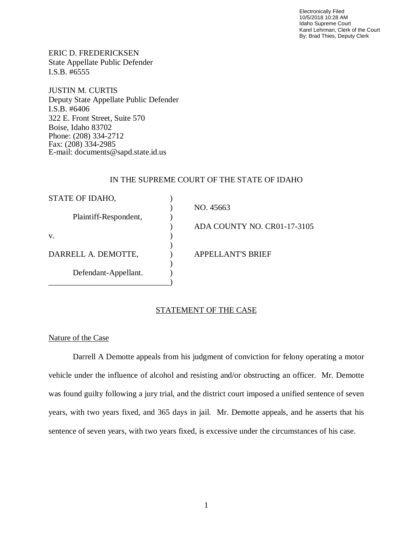Electronically Filed 10/5/2018 10:28 AM Idaho Supreme Court Karel Lehrman, Clerk of the Court By: Brad Thies, Deputy Clerk

ERIC D. FREDERICKSEN State Appellate Public Defender I.S.B. #6555

JUSTIN M. CURTIS Deputy State Appellate Public Defender I.S.B. #6406 322 E. Front Street, Suite 570 Boise, Idaho 83702 Phone: (208) 334-2712 Fax: (208) 334-2985 E-mail: documents@sapd.state.id.us

## IN THE SUPREME COURT OF THE STATE OF IDAHO

| STATE OF IDAHO,       |                             |
|-----------------------|-----------------------------|
|                       | NO. 45663                   |
| Plaintiff-Respondent, |                             |
|                       | ADA COUNTY NO. CR01-17-3105 |
| V.                    |                             |
|                       |                             |
| DARRELL A. DEMOTTE,   | <b>APPELLANT'S BRIEF</b>    |
|                       |                             |
| Defendant-Appellant.  |                             |
|                       |                             |

## STATEMENT OF THE CASE

## Nature of the Case

Darrell A Demotte appeals from his judgment of conviction for felony operating a motor vehicle under the influence of alcohol and resisting and/or obstructing an officer. Mr. Demotte was found guilty following a jury trial, and the district court imposed a unified sentence of seven years, with two years fixed, and 365 days in jail. Mr. Demotte appeals, and he asserts that his sentence of seven years, with two years fixed, is excessive under the circumstances of his case.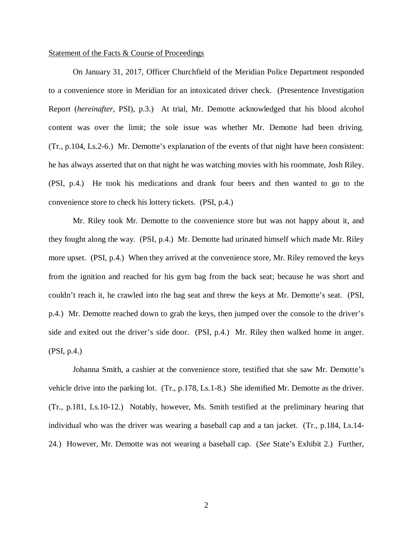#### Statement of the Facts & Course of Proceedings

On January 31, 2017, Officer Churchfield of the Meridian Police Department responded to a convenience store in Meridian for an intoxicated driver check. (Presentence Investigation Report (*hereinafter*, PSI), p.3.) At trial, Mr. Demotte acknowledged that his blood alcohol content was over the limit; the sole issue was whether Mr. Demotte had been driving. (Tr., p.104, Ls.2-6.) Mr. Demotte's explanation of the events of that night have been consistent: he has always asserted that on that night he was watching movies with his roommate, Josh Riley. (PSI, p.4.) He took his medications and drank four beers and then wanted to go to the convenience store to check his lottery tickets. (PSI, p.4.)

Mr. Riley took Mr. Demotte to the convenience store but was not happy about it, and they fought along the way. (PSI, p.4.) Mr. Demotte had urinated himself which made Mr. Riley more upset. (PSI, p.4.) When they arrived at the convenience store, Mr. Riley removed the keys from the ignition and reached for his gym bag from the back seat; because he was short and couldn't reach it, he crawled into the bag seat and threw the keys at Mr. Demotte's seat. (PSI, p.4.) Mr. Demotte reached down to grab the keys, then jumped over the console to the driver's side and exited out the driver's side door. (PSI, p.4.) Mr. Riley then walked home in anger. (PSI, p.4.)

Johanna Smith, a cashier at the convenience store, testified that she saw Mr. Demotte's vehicle drive into the parking lot. (Tr., p.178, Ls.1-8.) She identified Mr. Demotte as the driver. (Tr., p.181, Ls.10-12.) Notably, however, Ms. Smith testified at the preliminary hearing that individual who was the driver was wearing a baseball cap and a tan jacket. (Tr., p.184, Ls.14- 24.) However, Mr. Demotte was not wearing a baseball cap. (*See* State's Exhibit 2.) Further,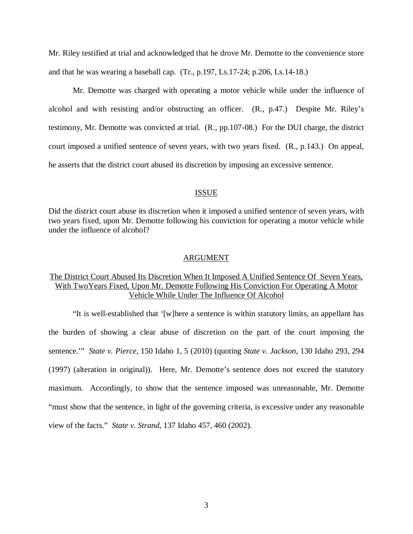Mr. Riley testified at trial and acknowledged that he drove Mr. Demotte to the convenience store and that he was wearing a baseball cap. (Tr., p.197, Ls.17-24; p.206, Ls.14-18.)

Mr. Demotte was charged with operating a motor vehicle while under the influence of alcohol and with resisting and/or obstructing an officer. (R., p.47.) Despite Mr. Riley's testimony, Mr. Demotte was convicted at trial. (R., pp.107-08.) For the DUI charge, the district court imposed a unified sentence of seven years, with two years fixed. (R., p.143.) On appeal, he asserts that the district court abused its discretion by imposing an excessive sentence.

#### ISSUE

Did the district court abuse its discretion when it imposed a unified sentence of seven years, with two years fixed, upon Mr. Demotte following his conviction for operating a motor vehicle while under the influence of alcohol?

#### ARGUMENT

## The District Court Abused Its Discretion When It Imposed A Unified Sentence Of Seven Years, With TwoYears Fixed, Upon Mr. Demotte Following His Conviction For Operating A Motor Vehicle While Under The Influence Of Alcohol

"It is well-established that '[w]here a sentence is within statutory limits, an appellant has the burden of showing a clear abuse of discretion on the part of the court imposing the sentence.'" *State v. Pierce*, 150 Idaho 1, 5 (2010) (quoting *State v. Jackson*, 130 Idaho 293, 294 (1997) (alteration in original)). Here, Mr. Demotte's sentence does not exceed the statutory maximum. Accordingly, to show that the sentence imposed was unreasonable, Mr. Demotte "must show that the sentence, in light of the governing criteria, is excessive under any reasonable view of the facts." *State v. Strand*, 137 Idaho 457, 460 (2002).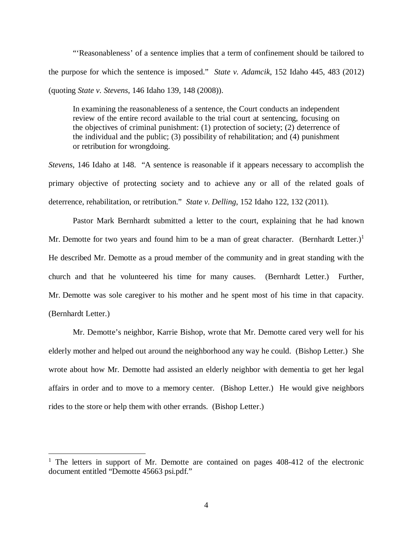"'Reasonableness' of a sentence implies that a term of confinement should be tailored to the purpose for which the sentence is imposed." *State v. Adamcik*, 152 Idaho 445, 483 (2012) (quoting *State v. Stevens*, 146 Idaho 139, 148 (2008)).

In examining the reasonableness of a sentence, the Court conducts an independent review of the entire record available to the trial court at sentencing, focusing on the objectives of criminal punishment: (1) protection of society; (2) deterrence of the individual and the public; (3) possibility of rehabilitation; and (4) punishment or retribution for wrongdoing.

*Stevens*, 146 Idaho at 148. "A sentence is reasonable if it appears necessary to accomplish the primary objective of protecting society and to achieve any or all of the related goals of deterrence, rehabilitation, or retribution." *State v. Delling*, 152 Idaho 122, 132 (2011).

Pastor Mark Bernhardt submitted a letter to the court, explaining that he had known Mr. Demotte for two years and found him to be a man of great character. (Bernhardt Letter.)<sup>[1](#page-4-0)</sup> He described Mr. Demotte as a proud member of the community and in great standing with the church and that he volunteered his time for many causes. (Bernhardt Letter.) Further, Mr. Demotte was sole caregiver to his mother and he spent most of his time in that capacity. (Bernhardt Letter.)

Mr. Demotte's neighbor, Karrie Bishop, wrote that Mr. Demotte cared very well for his elderly mother and helped out around the neighborhood any way he could. (Bishop Letter.) She wrote about how Mr. Demotte had assisted an elderly neighbor with dementia to get her legal affairs in order and to move to a memory center. (Bishop Letter.) He would give neighbors rides to the store or help them with other errands. (Bishop Letter.)

<span id="page-4-0"></span><sup>&</sup>lt;sup>1</sup> The letters in support of Mr. Demotte are contained on pages 408-412 of the electronic document entitled "Demotte 45663 psi.pdf."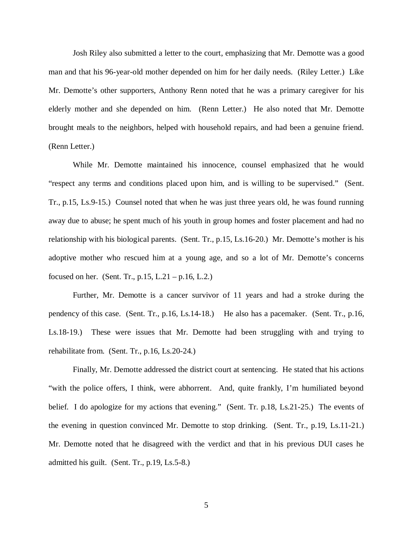Josh Riley also submitted a letter to the court, emphasizing that Mr. Demotte was a good man and that his 96-year-old mother depended on him for her daily needs. (Riley Letter.) Like Mr. Demotte's other supporters, Anthony Renn noted that he was a primary caregiver for his elderly mother and she depended on him. (Renn Letter.) He also noted that Mr. Demotte brought meals to the neighbors, helped with household repairs, and had been a genuine friend. (Renn Letter.)

While Mr. Demotte maintained his innocence, counsel emphasized that he would "respect any terms and conditions placed upon him, and is willing to be supervised." (Sent. Tr., p.15, Ls.9-15.) Counsel noted that when he was just three years old, he was found running away due to abuse; he spent much of his youth in group homes and foster placement and had no relationship with his biological parents. (Sent. Tr., p.15, Ls.16-20.) Mr. Demotte's mother is his adoptive mother who rescued him at a young age, and so a lot of Mr. Demotte's concerns focused on her. (Sent. Tr.,  $p.15$ , L.21 –  $p.16$ , L.2.)

Further, Mr. Demotte is a cancer survivor of 11 years and had a stroke during the pendency of this case. (Sent. Tr., p.16, Ls.14-18.) He also has a pacemaker. (Sent. Tr., p.16, Ls.18-19.) These were issues that Mr. Demotte had been struggling with and trying to rehabilitate from. (Sent. Tr., p.16, Ls.20-24.)

Finally, Mr. Demotte addressed the district court at sentencing. He stated that his actions "with the police offers, I think, were abhorrent. And, quite frankly, I'm humiliated beyond belief. I do apologize for my actions that evening." (Sent. Tr. p.18, Ls.21-25.) The events of the evening in question convinced Mr. Demotte to stop drinking. (Sent. Tr., p.19, Ls.11-21.) Mr. Demotte noted that he disagreed with the verdict and that in his previous DUI cases he admitted his guilt. (Sent. Tr., p.19, Ls.5-8.)